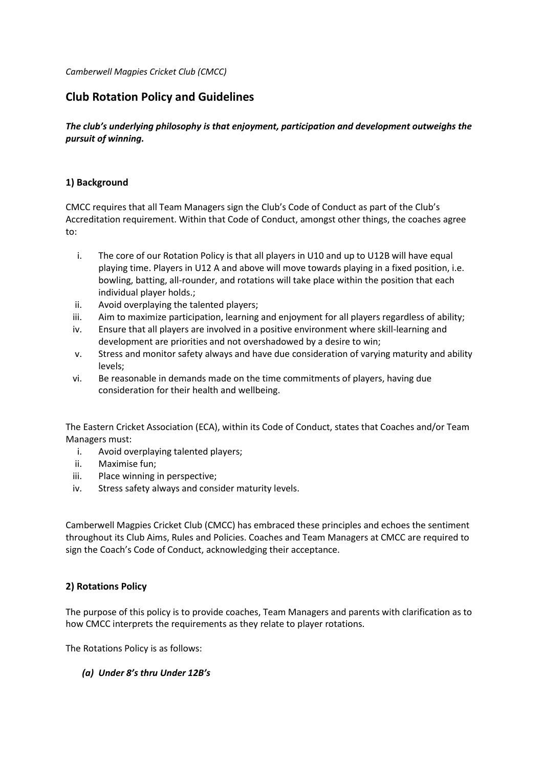# **Club Rotation Policy and Guidelines**

*The club's underlying philosophy is that enjoyment, participation and development outweighs the pursuit of winning.*

#### **1) Background**

CMCC requires that all Team Managers sign the Club's Code of Conduct as part of the Club's Accreditation requirement. Within that Code of Conduct, amongst other things, the coaches agree to:

- i. The core of our Rotation Policy is that all players in U10 and up to U12B will have equal playing time. Players in U12 A and above will move towards playing in a fixed position, i.e. bowling, batting, all-rounder, and rotations will take place within the position that each individual player holds.;
- ii. Avoid overplaying the talented players;
- iii. Aim to maximize participation, learning and enjoyment for all players regardless of ability;
- iv. Ensure that all players are involved in a positive environment where skill-learning and development are priorities and not overshadowed by a desire to win;
- v. Stress and monitor safety always and have due consideration of varying maturity and ability levels;
- vi. Be reasonable in demands made on the time commitments of players, having due consideration for their health and wellbeing.

The Eastern Cricket Association (ECA), within its Code of Conduct, states that Coaches and/or Team Managers must:

- i. Avoid overplaying talented players;
- ii. Maximise fun;
- iii. Place winning in perspective;
- iv. Stress safety always and consider maturity levels.

Camberwell Magpies Cricket Club (CMCC) has embraced these principles and echoes the sentiment throughout its Club Aims, Rules and Policies. Coaches and Team Managers at CMCC are required to sign the Coach's Code of Conduct, acknowledging their acceptance.

## **2) Rotations Policy**

The purpose of this policy is to provide coaches, Team Managers and parents with clarification as to how CMCC interprets the requirements as they relate to player rotations.

The Rotations Policy is as follows:

#### *(a) Under 8's thru Under 12B's*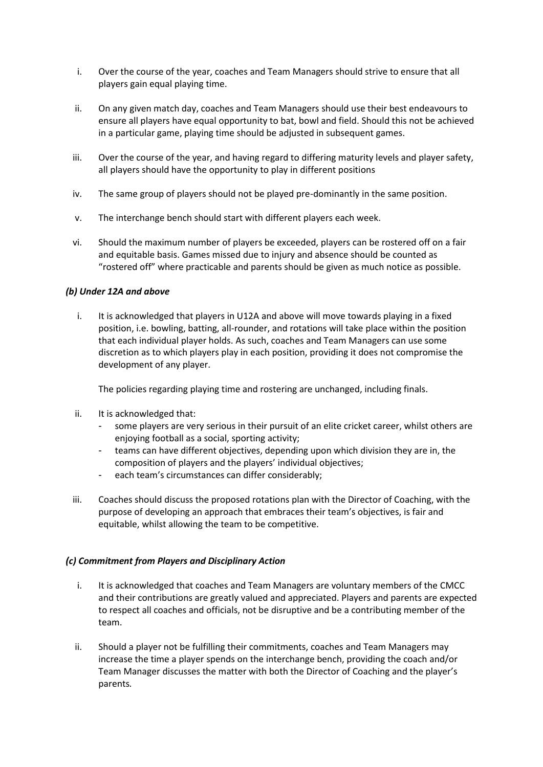- i. Over the course of the year, coaches and Team Managers should strive to ensure that all players gain equal playing time.
- ii. On any given match day, coaches and Team Managers should use their best endeavours to ensure all players have equal opportunity to bat, bowl and field. Should this not be achieved in a particular game, playing time should be adjusted in subsequent games.
- iii. Over the course of the year, and having regard to differing maturity levels and player safety, all players should have the opportunity to play in different positions
- iv. The same group of players should not be played pre-dominantly in the same position.
- v. The interchange bench should start with different players each week.
- vi. Should the maximum number of players be exceeded, players can be rostered off on a fair and equitable basis. Games missed due to injury and absence should be counted as "rostered off" where practicable and parents should be given as much notice as possible.

#### *(b) Under 12A and above*

i. It is acknowledged that players in U12A and above will move towards playing in a fixed position, i.e. bowling, batting, all-rounder, and rotations will take place within the position that each individual player holds. As such, coaches and Team Managers can use some discretion as to which players play in each position, providing it does not compromise the development of any player.

The policies regarding playing time and rostering are unchanged, including finals.

- ii. It is acknowledged that:
	- some players are very serious in their pursuit of an elite cricket career, whilst others are enjoying football as a social, sporting activity;
	- teams can have different objectives, depending upon which division they are in, the composition of players and the players' individual objectives;
	- each team's circumstances can differ considerably;
- iii. Coaches should discuss the proposed rotations plan with the Director of Coaching, with the purpose of developing an approach that embraces their team's objectives, is fair and equitable, whilst allowing the team to be competitive.

#### *(c) Commitment from Players and Disciplinary Action*

- i. It is acknowledged that coaches and Team Managers are voluntary members of the CMCC and their contributions are greatly valued and appreciated. Players and parents are expected to respect all coaches and officials, not be disruptive and be a contributing member of the team.
- ii. Should a player not be fulfilling their commitments, coaches and Team Managers may increase the time a player spends on the interchange bench, providing the coach and/or Team Manager discusses the matter with both the Director of Coaching and the player's parents*.*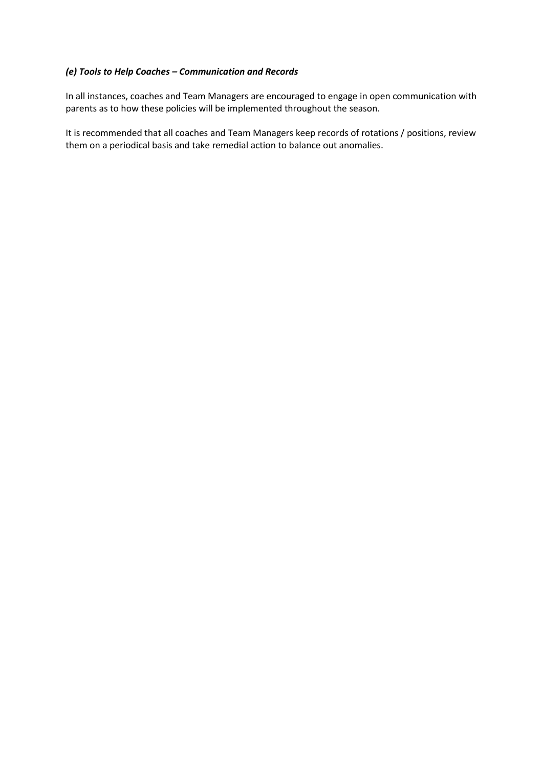#### *(e) Tools to Help Coaches – Communication and Records*

In all instances, coaches and Team Managers are encouraged to engage in open communication with parents as to how these policies will be implemented throughout the season.

It is recommended that all coaches and Team Managers keep records of rotations / positions, review them on a periodical basis and take remedial action to balance out anomalies.